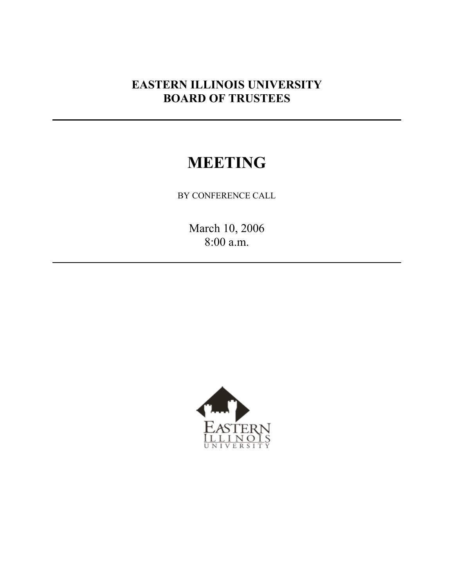## **EASTERN ILLINOIS UNIVERSITY BOARD OF TRUSTEES**

# **MEETING**

BY CONFERENCE CALL

March 10, 2006 8:00 a.m.

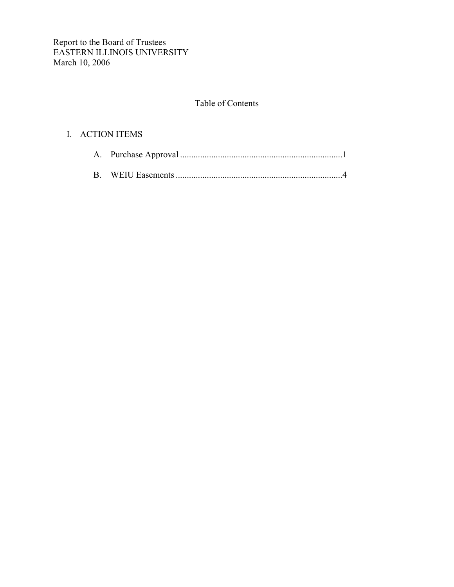## Table of Contents

## I. ACTION ITEMS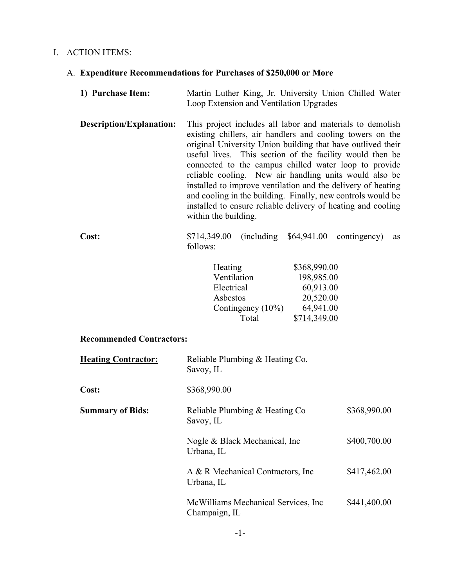## I. ACTION ITEMS:

## A. **Expenditure Recommendations for Purchases of \$250,000 or More**

- **1) Purchase Item:** Martin Luther King, Jr. University Union Chilled Water Loop Extension and Ventilation Upgrades
- **Description/Explanation:** This project includes all labor and materials to demolish existing chillers, air handlers and cooling towers on the original University Union building that have outlived their useful lives. This section of the facility would then be connected to the campus chilled water loop to provide reliable cooling. New air handling units would also be installed to improve ventilation and the delivery of heating and cooling in the building. Finally, new controls would be installed to ensure reliable delivery of heating and cooling within the building.

## **Cost:** \$714,349.00 (including \$64,941.00 contingency) as follows:

| Heating           | \$368,990.00 |
|-------------------|--------------|
| Ventilation       | 198,985.00   |
| Electrical        | 60,913.00    |
| Asbestos          | 20,520.00    |
| Contingency (10%) | 64,941.00    |
| Total             | 14.349.00    |

## **Recommended Contractors:**

| <b>Heating Contractor:</b> | Reliable Plumbing & Heating Co.<br>Savoy, IL          |              |
|----------------------------|-------------------------------------------------------|--------------|
| Cost:                      | \$368,990.00                                          |              |
| <b>Summary of Bids:</b>    | Reliable Plumbing & Heating Co<br>Savoy, IL           | \$368,990.00 |
|                            | Nogle & Black Mechanical, Inc.<br>Urbana, IL          | \$400,700.00 |
|                            | A & R Mechanical Contractors, Inc.<br>Urbana, IL      | \$417,462.00 |
|                            | McWilliams Mechanical Services, Inc.<br>Champaign, IL | \$441,400.00 |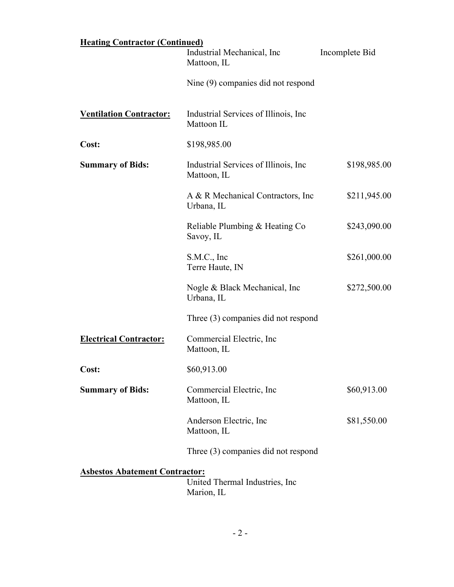| <b>Heating Contractor (Continued)</b>                                                  |                                                      |                |  |  |  |
|----------------------------------------------------------------------------------------|------------------------------------------------------|----------------|--|--|--|
|                                                                                        | Industrial Mechanical, Inc.<br>Mattoon, IL           | Incomplete Bid |  |  |  |
|                                                                                        | Nine (9) companies did not respond                   |                |  |  |  |
| <b>Ventilation Contractor:</b>                                                         | Industrial Services of Illinois, Inc.<br>Mattoon IL  |                |  |  |  |
| Cost:                                                                                  | \$198,985.00                                         |                |  |  |  |
| <b>Summary of Bids:</b>                                                                | Industrial Services of Illinois, Inc.<br>Mattoon, IL | \$198,985.00   |  |  |  |
|                                                                                        | A & R Mechanical Contractors, Inc.<br>Urbana, IL     | \$211,945.00   |  |  |  |
|                                                                                        | Reliable Plumbing & Heating Co<br>Savoy, IL          | \$243,090.00   |  |  |  |
|                                                                                        | S.M.C., Inc.<br>Terre Haute, IN                      | \$261,000.00   |  |  |  |
|                                                                                        | Nogle & Black Mechanical, Inc.<br>Urbana, IL         | \$272,500.00   |  |  |  |
|                                                                                        | Three (3) companies did not respond                  |                |  |  |  |
| <b>Electrical Contractor:</b>                                                          | Commercial Electric, Inc.<br>Mattoon, IL             |                |  |  |  |
| <b>Cost:</b>                                                                           | \$60,913.00                                          |                |  |  |  |
| <b>Summary of Bids:</b>                                                                | Commercial Electric, Inc.<br>Mattoon, IL             | \$60,913.00    |  |  |  |
|                                                                                        | Anderson Electric, Inc.<br>Mattoon, IL               | \$81,550.00    |  |  |  |
|                                                                                        | Three (3) companies did not respond                  |                |  |  |  |
| <b>Asbestos Abatement Contractor:</b><br>United Thermal Industries, Inc.<br>Marion, IL |                                                      |                |  |  |  |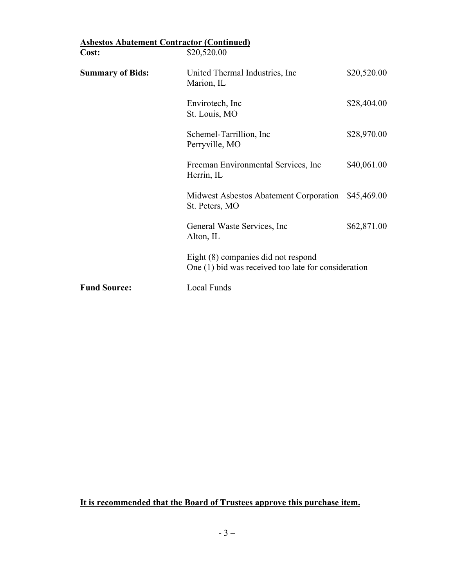| <b>Asbestos Abatement Contractor (Continued)</b> |                                                                                            |             |
|--------------------------------------------------|--------------------------------------------------------------------------------------------|-------------|
| Cost:                                            | \$20,520.00                                                                                |             |
| <b>Summary of Bids:</b>                          | United Thermal Industries, Inc.<br>Marion, IL                                              | \$20,520.00 |
|                                                  | Envirotech, Inc.<br>St. Louis, MO                                                          | \$28,404.00 |
|                                                  | Schemel-Tarrillion, Inc.<br>Perryville, MO                                                 | \$28,970.00 |
|                                                  | Freeman Environmental Services, Inc.<br>Herrin, IL                                         | \$40,061.00 |
|                                                  | Midwest Asbestos Abatement Corporation \$45,469.00<br>St. Peters, MO                       |             |
|                                                  | General Waste Services, Inc.<br>Alton, IL                                                  | \$62,871.00 |
|                                                  | Eight (8) companies did not respond<br>One (1) bid was received too late for consideration |             |
| <b>Fund Source:</b>                              | <b>Local Funds</b>                                                                         |             |

**It is recommended that the Board of Trustees approve this purchase item.**